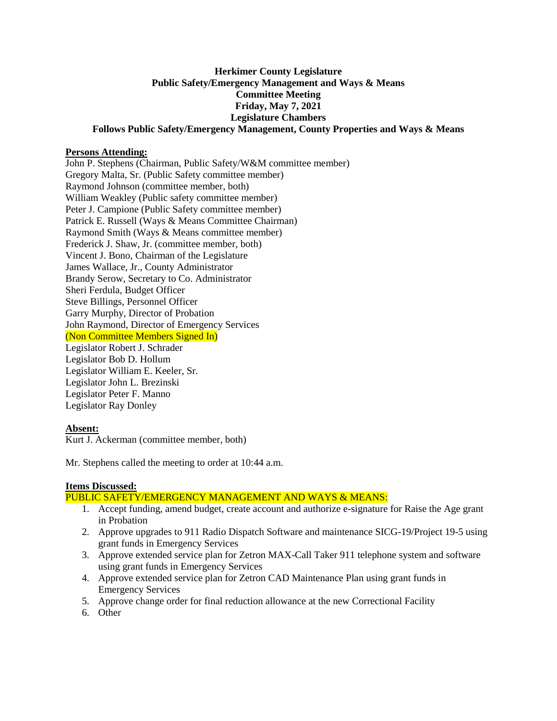# **Herkimer County Legislature Public Safety/Emergency Management and Ways & Means Committee Meeting Friday, May 7, 2021 Legislature Chambers Follows Public Safety/Emergency Management, County Properties and Ways & Means**

#### **Persons Attending:**

John P. Stephens (Chairman, Public Safety/W&M committee member) Gregory Malta, Sr. (Public Safety committee member) Raymond Johnson (committee member, both) William Weakley (Public safety committee member) Peter J. Campione (Public Safety committee member) Patrick E. Russell (Ways & Means Committee Chairman) Raymond Smith (Ways & Means committee member) Frederick J. Shaw, Jr. (committee member, both) Vincent J. Bono, Chairman of the Legislature James Wallace, Jr., County Administrator Brandy Serow, Secretary to Co. Administrator Sheri Ferdula, Budget Officer Steve Billings, Personnel Officer Garry Murphy, Director of Probation John Raymond, Director of Emergency Services (Non Committee Members Signed In) Legislator Robert J. Schrader Legislator Bob D. Hollum Legislator William E. Keeler, Sr. Legislator John L. Brezinski Legislator Peter F. Manno Legislator Ray Donley

# **Absent:**

Kurt J. Ackerman (committee member, both)

Mr. Stephens called the meeting to order at 10:44 a.m.

# **Items Discussed:**

## PUBLIC SAFETY/EMERGENCY MANAGEMENT AND WAYS & MEANS:

- 1. Accept funding, amend budget, create account and authorize e-signature for Raise the Age grant in Probation
- 2. Approve upgrades to 911 Radio Dispatch Software and maintenance SICG-19/Project 19-5 using grant funds in Emergency Services
- 3. Approve extended service plan for Zetron MAX-Call Taker 911 telephone system and software using grant funds in Emergency Services
- 4. Approve extended service plan for Zetron CAD Maintenance Plan using grant funds in Emergency Services
- 5. Approve change order for final reduction allowance at the new Correctional Facility
- 6. Other